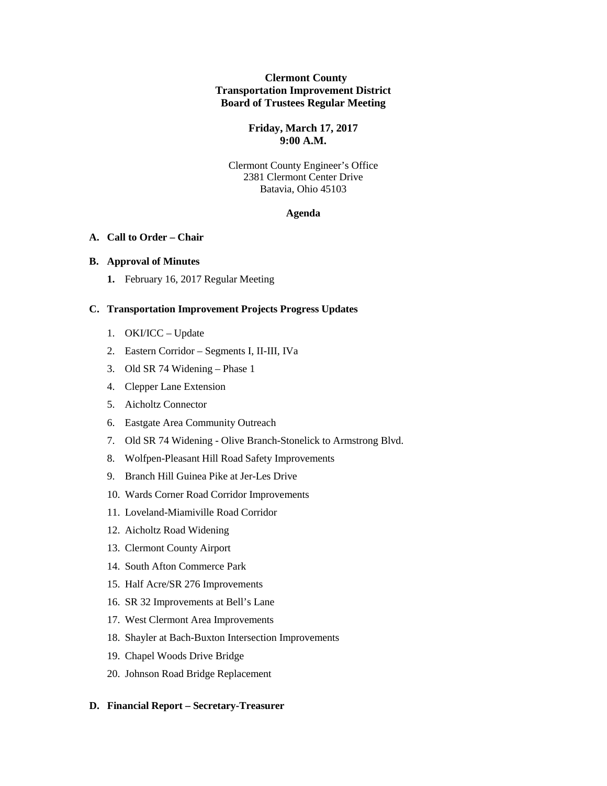## **Clermont County Transportation Improvement District Board of Trustees Regular Meeting**

## **Friday, March 17, 2017 9:00 A.M.**

Clermont County Engineer's Office 2381 Clermont Center Drive Batavia, Ohio 45103

### **Agenda**

#### **A. Call to Order – Chair**

#### **B. Approval of Minutes**

**1.** February 16, 2017 Regular Meeting

## **C. Transportation Improvement Projects Progress Updates**

- 1. OKI/ICC Update
- 2. Eastern Corridor Segments I, II-III, IVa
- 3. Old SR 74 Widening Phase 1
- 4. Clepper Lane Extension
- 5. Aicholtz Connector
- 6. Eastgate Area Community Outreach
- 7. Old SR 74 Widening Olive Branch-Stonelick to Armstrong Blvd.
- 8. Wolfpen-Pleasant Hill Road Safety Improvements
- 9. Branch Hill Guinea Pike at Jer-Les Drive
- 10. Wards Corner Road Corridor Improvements
- 11. Loveland-Miamiville Road Corridor
- 12. Aicholtz Road Widening
- 13. Clermont County Airport
- 14. South Afton Commerce Park
- 15. Half Acre/SR 276 Improvements
- 16. SR 32 Improvements at Bell's Lane
- 17. West Clermont Area Improvements
- 18. Shayler at Bach-Buxton Intersection Improvements
- 19. Chapel Woods Drive Bridge
- 20. Johnson Road Bridge Replacement

#### **D. Financial Report – Secretary-Treasurer**